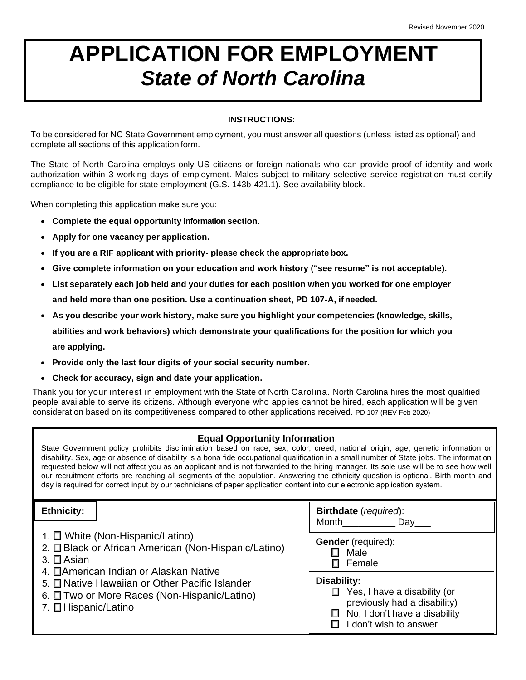## **APPLICATION FOR EMPLOYMENT** *State of North Carolina*

## **INSTRUCTIONS:**

To be considered for NC State Government employment, you must answer all questions (unless listed as optional) and complete all sections of this application form.

The State of North Carolina employs only US citizens or foreign nationals who can provide proof of identity and work authorization within 3 working days of employment. Males subject to military selective service registration must certify compliance to be eligible for state employment (G.S. 143b-421.1). See availability block.

When completing this application make sure you:

- **Complete the equal opportunity information section.**
- **Apply for one vacancy per application.**
- **If you are a RIF applicant with priority- please check the appropriate box.**
- **Give complete information on your education and work history ("see resume" is not acceptable).**
- **List separately each job held and your duties for each position when you worked for one employer and held more than one position. Use a continuation sheet, PD 107-A, ifneeded.**
- **As you describe your work history, make sure you highlight your competencies (knowledge, skills, abilities and work behaviors) which demonstrate your qualifications for the position for which you are applying.**
- **Provide only the last four digits of your social security number.**
- **Check for accuracy, sign and date your application.**

Thank you for your interest in employment with the State of North Carolina. North Carolina hires the most qualified people available to serve its citizens. Although everyone who applies cannot be hired, each application will be given consideration based on its competitiveness compared to other applications received. PD 107 (REV Feb 2020)

## **Equal Opportunity Information**

State Government policy prohibits discrimination based on race, sex, color, creed, national origin, age, genetic information or disability. Sex, age or absence of disability is a bona fide occupational qualification in a small number of State jobs. The information requested below will not affect you as an applicant and is not forwarded to the hiring manager. Its sole use will be to see how well our recruitment efforts are reaching all segments of the population. Answering the ethnicity question is optional. Birth month and day is required for correct input by our technicians of paper application content into our electronic application system.

| <b>Ethnicity:</b>                                                                                                                                                                                                                                                              | <b>Birthdate</b> (required):<br>Month                                                                                             |
|--------------------------------------------------------------------------------------------------------------------------------------------------------------------------------------------------------------------------------------------------------------------------------|-----------------------------------------------------------------------------------------------------------------------------------|
| 1. □ White (Non-Hispanic/Latino)<br>2. El Black or African American (Non-Hispanic/Latino)<br>3. $\Box$ Asian<br>4. EAmerican Indian or Alaskan Native<br>5. E Native Hawaiian or Other Pacific Islander<br>6. Two or More Races (Non-Hispanic/Latino)<br>7. El Hispanic/Latino | Dav<br><b>Gender</b> (required):<br>Male<br>Female<br>Disability:<br>Yes, I have a disability (or<br>previously had a disability) |
|                                                                                                                                                                                                                                                                                | No, I don't have a disability<br>I don't wish to answer                                                                           |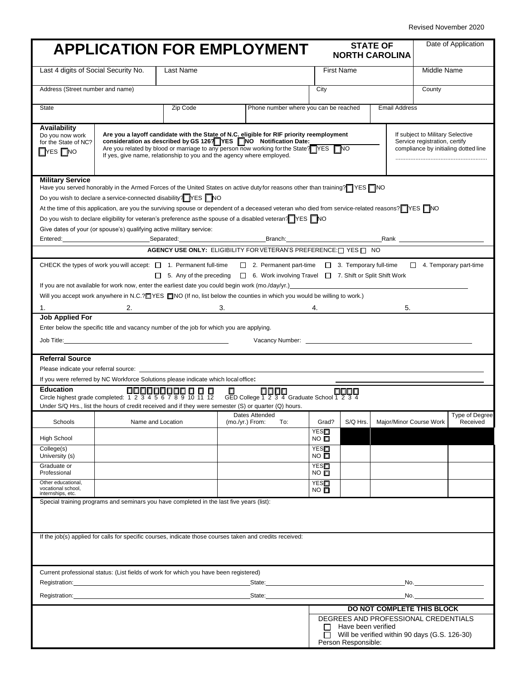|                                                                                 | <b>APPLICATION FOR EMPLOYMENT</b>                                                                                                                                                                                                                                                                                                                                                                                                                                                                                                                                                                                                                                                                                                                                                                                                       |                                                                 |    |                  |                                             |                         |                                           | <b>STATE OF</b><br><b>NORTH CAROLINA</b>                                              |             | Date of Application                  |
|---------------------------------------------------------------------------------|-----------------------------------------------------------------------------------------------------------------------------------------------------------------------------------------------------------------------------------------------------------------------------------------------------------------------------------------------------------------------------------------------------------------------------------------------------------------------------------------------------------------------------------------------------------------------------------------------------------------------------------------------------------------------------------------------------------------------------------------------------------------------------------------------------------------------------------------|-----------------------------------------------------------------|----|------------------|---------------------------------------------|-------------------------|-------------------------------------------|---------------------------------------------------------------------------------------|-------------|--------------------------------------|
| Last 4 digits of Social Security No.<br>Last Name                               |                                                                                                                                                                                                                                                                                                                                                                                                                                                                                                                                                                                                                                                                                                                                                                                                                                         |                                                                 |    |                  |                                             | <b>First Name</b>       |                                           |                                                                                       | Middle Name |                                      |
| Address (Street number and name)                                                |                                                                                                                                                                                                                                                                                                                                                                                                                                                                                                                                                                                                                                                                                                                                                                                                                                         |                                                                 |    |                  | City                                        |                         |                                           | County                                                                                |             |                                      |
| State                                                                           |                                                                                                                                                                                                                                                                                                                                                                                                                                                                                                                                                                                                                                                                                                                                                                                                                                         | Zip Code                                                        |    |                  | Phone number where you can be reached       |                         |                                           | <b>Email Address</b>                                                                  |             |                                      |
| Availability<br>Do you now work<br>for the State of NC?<br>$\Box$ YES $\Box$ NO | Are you a layoff candidate with the State of N.C. eligible for RIF priority reemployment<br>If subject to Military Selective<br>consideration as described by GS 126? YES NO Notification Date:<br>Service registration, certify<br>Are you related by blood or marriage to any person now working for the State? YES NO<br>compliance by initialing dotted line<br>If yes, give name, relationship to you and the agency where employed.                                                                                                                                                                                                                                                                                                                                                                                               |                                                                 |    |                  |                                             |                         |                                           |                                                                                       |             |                                      |
| <b>Military Service</b>                                                         | Have you served honorably in the Armed Forces of the United States on active duty for reasons other than training? YES NO<br>Do you wish to declare a service-connected disability? YES NO<br>At the time of this application, are you the surviving spouse or dependent of a deceased veteran who died from service-related reasons? YES<br>Do you wish to declare eligibility for veteran's preference asthe spouse of a disabled veteran? YES NO<br>Give dates of your (or spouse's) qualifying active military service:<br>Entered: Rank Research Communication Communication Communication Communication Communication Communication Communication Communication Communication Communication Communication Communication Communication Communication Com<br>CHECK the types of work you will accept: $\Box$ 1. Permanent full-time | AGENCY USE ONLY: ELIGIBILITY FOR VETERAN'S PREFERENCE: TYES TWO |    |                  |                                             |                         |                                           | □ 2. Permanent part-time □ 3. Temporary full-time □ 4. Temporary part-time            |             |                                      |
| 1.                                                                              | If you are not available for work now, enter the earliest date you could begin work (mo./day/yr.)<br>Support the control of the control of the care of the care of the control of the control of the control of the control of t<br>Will you accept work anywhere in N.C.? TYES TINO (If no, list below the counties in which you would be willing to work.)                                                                                                                                                                                                                                                                                                                                                                                                                                                                            | $\Box$ 5. Any of the preceding<br>2.                            | 3. |                  |                                             |                         |                                           | □ 6. Work involving Travel □ 7. Shift or Split Shift Work<br>5.                       |             |                                      |
| <b>Referral Source</b>                                                          | Enter below the specific title and vacancy number of the job for which you are applying.<br>Please indicate your referral source: ___________                                                                                                                                                                                                                                                                                                                                                                                                                                                                                                                                                                                                                                                                                           |                                                                 |    |                  |                                             |                         |                                           |                                                                                       |             |                                      |
| <b>Education</b>                                                                | If you were referred by NC Workforce Solutions please indicate which local office:<br>Under S/Q Hrs., list the hours of credit received and if they were semester (S) or quarter (Q) hours.                                                                                                                                                                                                                                                                                                                                                                                                                                                                                                                                                                                                                                             |                                                                 |    |                  | GED College 1 2 3 4 Graduate School 1 2 3 4 |                         |                                           |                                                                                       |             |                                      |
| Schools                                                                         | Name and Location                                                                                                                                                                                                                                                                                                                                                                                                                                                                                                                                                                                                                                                                                                                                                                                                                       |                                                                 |    | Dates Attended   |                                             |                         |                                           | Dates Attended<br>(mo./yr.) From: To: Grad? S/Q Hrs. Major/Minor Course Work          |             | Type of Degree<br>Received           |
| <b>High School</b>                                                              |                                                                                                                                                                                                                                                                                                                                                                                                                                                                                                                                                                                                                                                                                                                                                                                                                                         |                                                                 |    |                  |                                             | <b>YES□</b><br>NO ⊡     |                                           |                                                                                       |             |                                      |
| College(s)<br>University (s)                                                    |                                                                                                                                                                                                                                                                                                                                                                                                                                                                                                                                                                                                                                                                                                                                                                                                                                         |                                                                 |    |                  |                                             | YES□<br>NO <sub>D</sub> |                                           |                                                                                       |             |                                      |
| Graduate or<br>Professional                                                     |                                                                                                                                                                                                                                                                                                                                                                                                                                                                                                                                                                                                                                                                                                                                                                                                                                         |                                                                 |    |                  |                                             | YES□<br>$NO$ $\Box$     |                                           |                                                                                       |             |                                      |
| Other educational,<br>vocational school,<br>internships, etc.                   |                                                                                                                                                                                                                                                                                                                                                                                                                                                                                                                                                                                                                                                                                                                                                                                                                                         |                                                                 |    |                  |                                             | YES□<br>$NO$ $\square$  |                                           |                                                                                       |             |                                      |
|                                                                                 | Special training programs and seminars you have completed in the last five years (list):<br>If the job(s) applied for calls for specific courses, indicate those courses taken and credits received:                                                                                                                                                                                                                                                                                                                                                                                                                                                                                                                                                                                                                                    |                                                                 |    |                  |                                             |                         |                                           |                                                                                       |             |                                      |
| Registration:                                                                   | Current professional status: (List fields of work for which you have been registered)                                                                                                                                                                                                                                                                                                                                                                                                                                                                                                                                                                                                                                                                                                                                                   |                                                                 |    |                  |                                             |                         |                                           |                                                                                       |             |                                      |
|                                                                                 |                                                                                                                                                                                                                                                                                                                                                                                                                                                                                                                                                                                                                                                                                                                                                                                                                                         |                                                                 |    | State:<br>State: |                                             |                         |                                           |                                                                                       | No.         | <u>No. _________________________</u> |
|                                                                                 |                                                                                                                                                                                                                                                                                                                                                                                                                                                                                                                                                                                                                                                                                                                                                                                                                                         |                                                                 |    |                  |                                             |                         |                                           | DO NOT COMPLETE THIS BLOCK                                                            |             |                                      |
|                                                                                 |                                                                                                                                                                                                                                                                                                                                                                                                                                                                                                                                                                                                                                                                                                                                                                                                                                         |                                                                 |    |                  |                                             | $\perp$<br>П            | Have been verified<br>Person Responsible: | DEGREES AND PROFESSIONAL CREDENTIALS<br>Will be verified within 90 days (G.S. 126-30) |             |                                      |